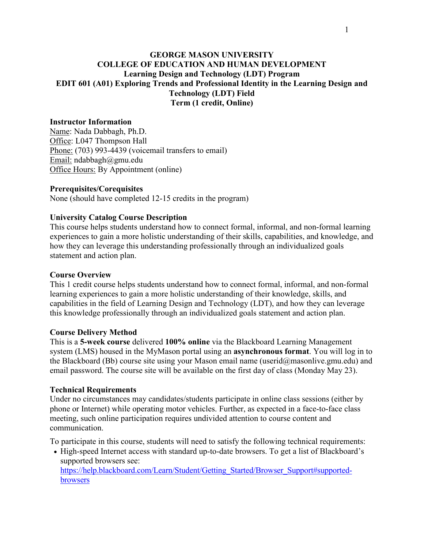## **GEORGE MASON UNIVERSITY COLLEGE OF EDUCATION AND HUMAN DEVELOPMENT Learning Design and Technology (LDT) Program EDIT 601 (A01) Exploring Trends and Professional Identity in the Learning Design and Technology (LDT) Field Term (1 credit, Online)**

#### **Instructor Information**

Name: Nada Dabbagh, Ph.D. Office: L047 Thompson Hall Phone: (703) 993-4439 (voicemail transfers to email) Email: ndabbagh@gmu.edu Office Hours: By Appointment (online)

#### **Prerequisites/Corequisites**

None (should have completed 12-15 credits in the program)

#### **University Catalog Course Description**

This course helps students understand how to connect formal, informal, and non-formal learning experiences to gain a more holistic understanding of their skills, capabilities, and knowledge, and how they can leverage this understanding professionally through an individualized goals statement and action plan.

#### **Course Overview**

This 1 credit course helps students understand how to connect formal, informal, and non-formal learning experiences to gain a more holistic understanding of their knowledge, skills, and capabilities in the field of Learning Design and Technology (LDT), and how they can leverage this knowledge professionally through an individualized goals statement and action plan.

#### **Course Delivery Method**

This is a **5-week course** delivered **100% online** via the Blackboard Learning Management system (LMS) housed in the MyMason portal using an **asynchronous format**. You will log in to the Blackboard (Bb) course site using your Mason email name (userid@masonlive.gmu.edu) and email password. The course site will be available on the first day of class (Monday May 23).

#### **Technical Requirements**

Under no circumstances may candidates/students participate in online class sessions (either by phone or Internet) while operating motor vehicles. Further, as expected in a face-to-face class meeting, such online participation requires undivided attention to course content and communication.

To participate in this course, students will need to satisfy the following technical requirements:

• High-speed Internet access with standard up-to-date browsers. To get a list of Blackboard's supported browsers see[:](https://help.blackboard.com/Learn/Student/Getting_Started/Browser_Support#supported-browsers)

[https://help.blackboard.com/Learn/Student/Getting\\_Started/Browser\\_Support#supported](https://help.blackboard.com/Learn/Student/Getting_Started/Browser_Support#supported-browsers)[browsers](https://help.blackboard.com/Learn/Student/Getting_Started/Browser_Support#supported-browsers)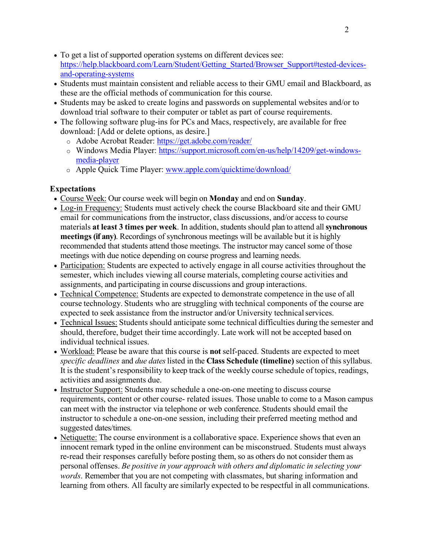- To get a list of supported operation systems on different devices see[:](https://help.blackboard.com/Learn/Student/Getting_Started/Browser_Support#tested-devices-and-operating-systems) [https://help.blackboard.com/Learn/Student/Getting\\_Started/Browser\\_Support#tested-devices](https://help.blackboard.com/Learn/Student/Getting_Started/Browser_Support#tested-devices-and-operating-systems)[and-operating-systems](https://help.blackboard.com/Learn/Student/Getting_Started/Browser_Support#tested-devices-and-operating-systems)
- Students must maintain consistent and reliable access to their GMU email and Blackboard, as these are the official methods of communication for this course.
- Students may be asked to create logins and passwords on supplemental websites and/or to download trial software to their computer or tablet as part of course requirements.
- The following software plug-ins for PCs and Macs, respectively, are available for free download: [Add or delete options, as desire.]
	- o Adobe Acrobat Reader:<https://get.adobe.com/reader/>
	- o Windows Media Player: [https://support.microsoft.com/en-us/help/14209/get-windows](https://support.microsoft.com/en-us/help/14209/get-windows-media-player)[media-player](https://support.microsoft.com/en-us/help/14209/get-windows-media-player)
	- o Apple Quick Time Player: [www.apple.com/quicktime/download/](http://www.apple.com/quicktime/download/)

# **Expectations**

- Course Week: Our course week will begin on **Monday** and end on **Sunday**.
- Log-in Frequency: Students must actively check the course Blackboard site and their GMU email for communications from the instructor, class discussions, and/or access to course materials **at least 3 times per week**. In addition, students should plan to attend all**synchronous meetings (if any)**. Recordings of synchronous meetings will be available but it is highly recommended that students attend those meetings. The instructor may cancel some of those meetings with due notice depending on course progress and learning needs.
- Participation: Students are expected to actively engage in all course activities throughout the semester, which includes viewing all course materials, completing course activities and assignments, and participating in course discussions and group interactions.
- Technical Competence: Students are expected to demonstrate competence in the use of all course technology. Students who are struggling with technical components of the course are expected to seek assistance from the instructor and/or University technical services.
- Technical Issues: Students should anticipate some technical difficulties during the semester and should, therefore, budget their time accordingly. Late work will not be accepted based on individual technical issues.
- Workload: Please be aware that this course is **not** self-paced. Students are expected to meet *specific deadlines* and *due dates*listed in the **Class Schedule (timeline)** section of this syllabus. It is the student's responsibility to keep track of the weekly course schedule of topics, readings, activities and assignments due.
- Instructor Support: Students may schedule a one-on-one meeting to discuss course requirements, content or other course- related issues. Those unable to come to a Mason campus can meet with the instructor via telephone or web conference. Students should email the instructor to schedule a one-on-one session, including their preferred meeting method and suggested dates/times.
- Netiquette: The course environment is a collaborative space. Experience shows that even an innocent remark typed in the online environment can be misconstrued. Students must always re-read their responses carefully before posting them, so as others do not consider them as personal offenses. *Be positive in your approach with others and diplomatic in selecting your words*. Remember that you are not competing with classmates, but sharing information and learning from others. All faculty are similarly expected to be respectful in all communications.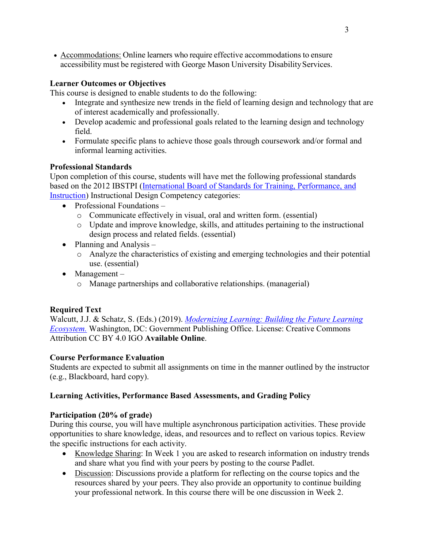• Accommodations: Online learners who require effective accommodations to ensure accessibility must be registered with George Mason University Disability Services.

# **Learner Outcomes or Objectives**

This course is designed to enable students to do the following:

- Integrate and synthesize new trends in the field of learning design and technology that are of interest academically and professionally.
- Develop academic and professional goals related to the learning design and technology field.
- Formulate specific plans to achieve those goals through coursework and/or formal and informal learning activities.

# **Professional Standards**

Upon completion of this course, students will have met the following professional standards based on the 2012 IBSTPI [\(International Board of Standards for Training, Performance, and](http://ibstpi.org/introducing-the-2012-instructional-design-competencies/)  [Instruction\)](http://ibstpi.org/introducing-the-2012-instructional-design-competencies/) Instructional Design Competency categories:

- Professional Foundations
	- o Communicate effectively in visual, oral and written form. (essential)
	- o Update and improve knowledge, skills, and attitudes pertaining to the instructional design process and related fields. (essential)
- Planning and Analysis
	- o Analyze the characteristics of existing and emerging technologies and their potential use. (essential)
- Management
	- o Manage partnerships and collaborative relationships. (managerial)

# **Required Text**

Walcutt, J.J. & Schatz, S. (Eds.) (2019). *[Modernizing Learning: Building the Future Learning](https://adlnet.gov/assets/uploads/Modernizing%20Learning.pdf)  [Ecosystem.](https://adlnet.gov/assets/uploads/Modernizing%20Learning.pdf)* Washington, DC: Government Publishing Office. License: Creative Commons Attribution CC BY 4.0 IGO **Available Online**.

## **Course Performance Evaluation**

Students are expected to submit all assignments on time in the manner outlined by the instructor (e.g., Blackboard, hard copy).

# **Learning Activities, Performance Based Assessments, and Grading Policy**

## **Participation (20% of grade)**

During this course, you will have multiple asynchronous participation activities. These provide opportunities to share knowledge, ideas, and resources and to reflect on various topics. Review the specific instructions for each activity.

- Knowledge Sharing: In Week 1 you are asked to research information on industry trends and share what you find with your peers by posting to the course Padlet.
- Discussion: Discussions provide a platform for reflecting on the course topics and the resources shared by your peers. They also provide an opportunity to continue building your professional network. In this course there will be one discussion in Week 2.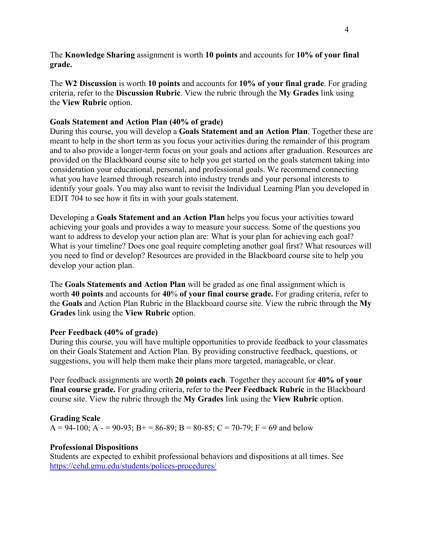The **Knowledge Sharing** assignment is worth **10 points** and accounts for **10% of your final grade.** 

The **W2 Discussion** is worth **10 points** and accounts for **10% of your final grade**. For grading criteria, refer to the **Discussion Rubric**. View the rubric through the **My Grades** link using the **View Rubric** option.

#### **Goals Statement and Action Plan (40% of grade)**

During this course, you will develop a **Goals Statement and an Action Plan**. Together these are meant to help in the short term as you focus your activities during the remainder of this program and to also provide a longer-term focus on your goals and actions after graduation. Resources are provided on the Blackboard course site to help you get started on the goals statement taking into consideration your educational, personal, and professional goals. We recommend connecting what you have learned through research into industry trends and your personal interests to identify your goals. You may also want to revisit the Individual Learning Plan you developed in EDIT 704 to see how it fits in with your goals statement.

Developing a **Goals Statement and an Action Plan** helps you focus your activities toward achieving your goals and provides a way to measure your success. Some of the questions you want to address to develop your action plan are: What is your plan for achieving each goal? What is your timeline? Does one goal require completing another goal first? What resources will you need to find or develop? Resources are provided in the Blackboard course site to help you develop your action plan.

The **Goals Statements and Action Plan** will be graded as one final assignment which is worth **40 points** and accounts for **40**% **of your final course grade.** For grading criteria, refer to the **Goals** and Action Plan Rubric in the Blackboard course site. View the rubric through the **My Grades** link using the **View Rubric** option.

## **Peer Feedback (40% of grade)**

During this course, you will have multiple opportunities to provide feedback to your classmates on their Goals Statement and Action Plan. By providing constructive feedback, questions, or suggestions, you will help them make their plans more targeted, manageable, or clear.

Peer feedback assignments are worth **20 points each**. Together they account for **40% of your final course grade.** For grading criteria, refer to the **Peer Feedback Rubric** in the Blackboard course site. View the rubric through the **My Grades** link using the **View Rubric** option.

#### **Grading Scale**

A = 94-100; A - = 90-93; B + = 86-89; B = 80-85; C = 70-79; F = 69 and below

#### **Professional Dispositions**

Students are expected to exhibit professional behaviors and dispositions at all times. See <https://cehd.gmu.edu/students/polices-procedures/>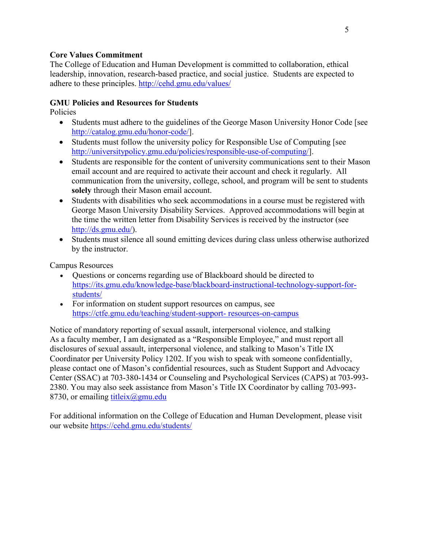#### **Core Values Commitment**

The College of Education and Human Development is committed to collaboration, ethical leadership, innovation, research-based practice, and social justice. Students are expected to adhere to these principles.<http://cehd.gmu.edu/values/>

## **GMU Policies and Resources for Students**

Policies

- Students must adhere to the guidelines of the George Mason University Honor Code [see [http://catalog.gmu.edu/honor-code/\]](http://catalog.gmu.edu/honor-code/).
- Students must follow the university policy for Responsible Use of Computing [see [http://universitypolicy.gmu.edu/policies/responsible-use-of-computing/\]](http://universitypolicy.gmu.edu/policies/responsible-use-of-computing/).
- Students are responsible for the content of university communications sent to their Mason email account and are required to activate their account and check it regularly. All communication from the university, college, school, and program will be sent to students **solely** through their Mason email account.
- Students with disabilities who seek accommodations in a course must be registered with George Mason University Disability Services. Approved accommodations will begin at the time the written letter from Disability Services is received by the instructor (see [http://ds.gmu.edu/\)](http://ds.gmu.edu/).
- Students must silence all sound emitting devices during class unless otherwise authorized by the instructor.

Campus Resources

- Questions or concerns regarding use of Blackboard should be directed to [https://its.gmu.edu/knowledge-base/blackboard-instructional-technology-support-for](https://its.gmu.edu/knowledge-base/blackboard-instructional-technology-support-for-students/)[students/](https://its.gmu.edu/knowledge-base/blackboard-instructional-technology-support-for-students/)
- For information on student support resources on campus, see [https://ctfe.gmu.edu/teaching/student-support-](https://ctfe.gmu.edu/teaching/student-support-resources-on-campus) [resources-on-campus](https://ctfe.gmu.edu/teaching/student-support-resources-on-campus)

Notice of mandatory reporting of sexual assault, interpersonal violence, and stalking As a faculty member, I am designated as a "Responsible Employee," and must report all disclosures of sexual assault, interpersonal violence, and stalking to Mason's Title IX Coordinator per University Policy 1202. If you wish to speak with someone confidentially, please contact one of Mason's confidential resources, such as Student Support and Advocacy Center (SSAC) at 703-380-1434 or Counseling and Psychological Services (CAPS) at 703-993- 2380. You may also seek assistance from Mason's Title IX Coordinator by calling 703-993- 8730, or emailing titleix $(\partial g$ mu.edu

For additional information on the College of Education and Human Development, please visit our website<https://cehd.gmu.edu/students/>